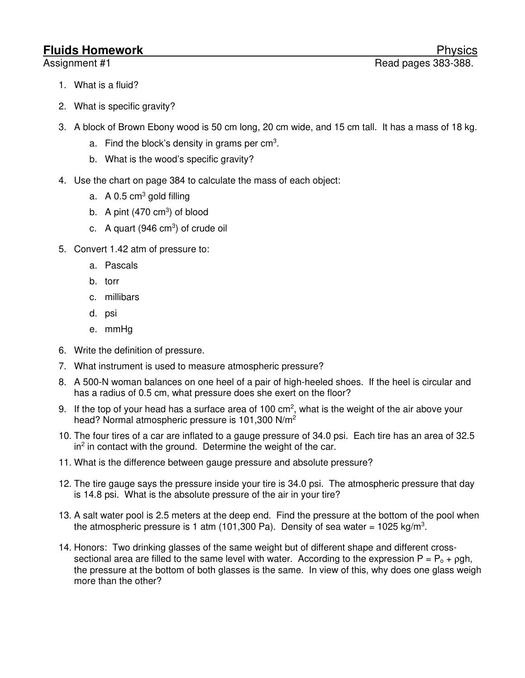## **Fluids Homework** Physics

- 1. What is a fluid?
- 2. What is specific gravity?
- 3. A block of Brown Ebony wood is 50 cm long, 20 cm wide, and 15 cm tall. It has a mass of 18 kg.
	- a. Find the block's density in grams per cm<sup>3</sup>.
	- b. What is the wood's specific gravity?
- 4. Use the chart on page 384 to calculate the mass of each object:
	- a.  $\,$  A 0.5 cm<sup>3</sup> gold filling
	- b. A pint  $(470 \text{ cm}^3)$  of blood
	- c. A quart (946 cm<sup>3</sup>) of crude oil
- 5. Convert 1.42 atm of pressure to:
	- a. Pascals
	- b. torr
	- c. millibars
	- d. psi
	- e. mmHg
- 6. Write the definition of pressure.
- 7. What instrument is used to measure atmospheric pressure?
- 8. A 500-N woman balances on one heel of a pair of high-heeled shoes. If the heel is circular and has a radius of 0.5 cm, what pressure does she exert on the floor?
- 9. If the top of your head has a surface area of 100 cm<sup>2</sup>, what is the weight of the air above your head? Normal atmospheric pressure is 101,300 N/m<sup>2</sup>
- 10. The four tires of a car are inflated to a gauge pressure of 34.0 psi. Each tire has an area of 32.5  $\ln^2$  in contact with the ground. Determine the weight of the car.
- 11. What is the difference between gauge pressure and absolute pressure?
- 12. The tire gauge says the pressure inside your tire is 34.0 psi. The atmospheric pressure that day is 14.8 psi. What is the absolute pressure of the air in your tire?
- 13. A salt water pool is 2.5 meters at the deep end. Find the pressure at the bottom of the pool when the atmospheric pressure is 1 atm (101,300 Pa). Density of sea water = 1025 kg/m<sup>3</sup>.
- 14. Honors: Two drinking glasses of the same weight but of different shape and different crosssectional area are filled to the same level with water. According to the expression  $P = P_0 + \rho gh$ , the pressure at the bottom of both glasses is the same. In view of this, why does one glass weigh more than the other?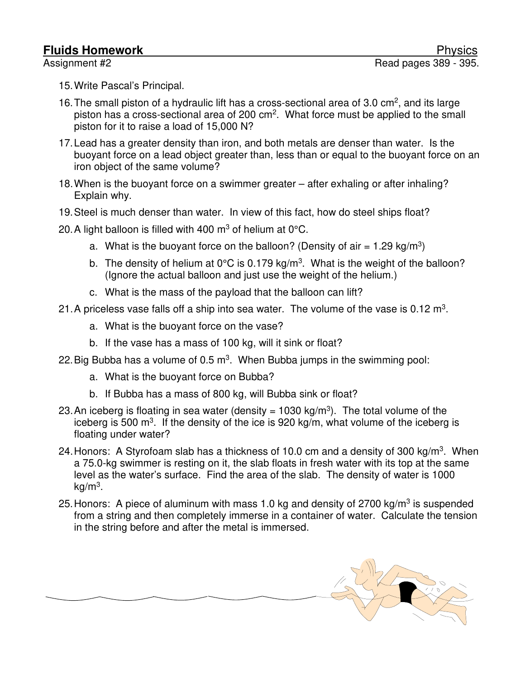- 15. Write Pascal's Principal.
- 16. The small piston of a hydraulic lift has a cross-sectional area of 3.0  $\text{cm}^2$ , and its large piston has a cross-sectional area of 200 cm<sup>2</sup>. What force must be applied to the small piston for it to raise a load of 15,000 N?
- 17. Lead has a greater density than iron, and both metals are denser than water. Is the buoyant force on a lead object greater than, less than or equal to the buoyant force on an iron object of the same volume?
- 18. When is the buoyant force on a swimmer greater after exhaling or after inhaling? Explain why.
- 19. Steel is much denser than water. In view of this fact, how do steel ships float?
- 20. A light balloon is filled with 400  $\text{m}^3$  of helium at 0°C.
	- a. What is the buoyant force on the balloon? (Density of air = 1.29 kg/m<sup>3</sup>)
	- b. The density of helium at 0°C is 0.179 kg/m<sup>3</sup>. What is the weight of the balloon? (Ignore the actual balloon and just use the weight of the helium.)
	- c. What is the mass of the payload that the balloon can lift?
- 21. A priceless vase falls off a ship into sea water. The volume of the vase is 0.12  $m^3$ .
	- a. What is the buoyant force on the vase?
	- b. If the vase has a mass of 100 kg, will it sink or float?
- 22. Big Bubba has a volume of 0.5  $m^3$ . When Bubba jumps in the swimming pool:
	- a. What is the buoyant force on Bubba?
	- b. If Bubba has a mass of 800 kg, will Bubba sink or float?
- 23. An iceberg is floating in sea water (density = 1030 kg/m<sup>3</sup>). The total volume of the iceberg is 500  $\text{m}^3$ . If the density of the ice is 920 kg/m, what volume of the iceberg is floating under water?
- 24. Honors: A Styrofoam slab has a thickness of 10.0 cm and a density of 300 kg/m<sup>3</sup>. When a 75.0-kg swimmer is resting on it, the slab floats in fresh water with its top at the same level as the water's surface. Find the area of the slab. The density of water is 1000 kg/m<sup>3</sup>.
- 25. Honors: A piece of aluminum with mass 1.0 kg and density of 2700 kg/m<sup>3</sup> is suspended from a string and then completely immerse in a container of water. Calculate the tension in the string before and after the metal is immersed.

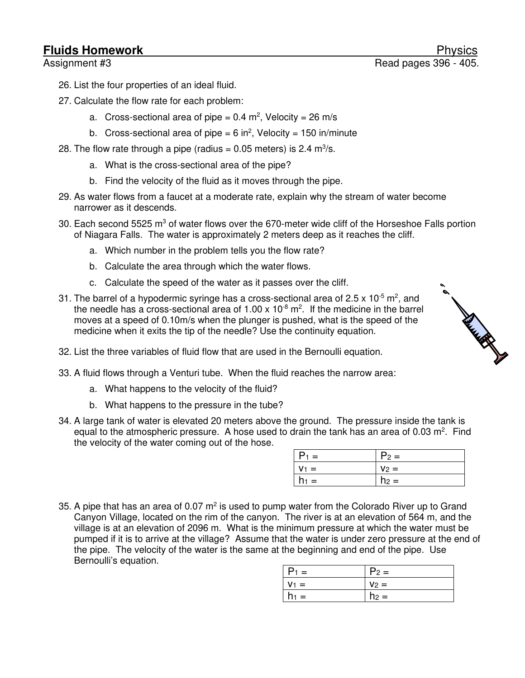## **Fluids Homework**

- 26. List the four properties of an ideal fluid.
- 27. Calculate the flow rate for each problem:
	- a. Cross-sectional area of pipe =  $0.4$  m<sup>2</sup>, Velocity =  $26$  m/s
	- b. Cross-sectional area of pipe = 6 in<sup>2</sup>, Velocity = 150 in/minute
- 28. The flow rate through a pipe (radius  $= 0.05$  meters) is 2.4 m<sup>3</sup>/s.
	- a. What is the cross-sectional area of the pipe?
	- b. Find the velocity of the fluid as it moves through the pipe.
- 29. As water flows from a faucet at a moderate rate, explain why the stream of water become narrower as it descends.
- 30. Each second 5525 m<sup>3</sup> of water flows over the 670-meter wide cliff of the Horseshoe Falls portion of Niagara Falls. The water is approximately 2 meters deep as it reaches the cliff.
	- a. Which number in the problem tells you the flow rate?
	- b. Calculate the area through which the water flows.
	- c. Calculate the speed of the water as it passes over the cliff.
- 31. The barrel of a hypodermic syringe has a cross-sectional area of 2.5 x 10<sup>-5</sup> m<sup>2</sup>, and the needle has a cross-sectional area of  $1.00 \times 10^{-8}$  m<sup>2</sup>. If the medicine in the barrel moves at a speed of 0.10m/s when the plunger is pushed, what is the speed of the medicine when it exits the tip of the needle? Use the continuity equation.
- 32. List the three variables of fluid flow that are used in the Bernoulli equation.
- 33. A fluid flows through a Venturi tube. When the fluid reaches the narrow area:
	- a. What happens to the velocity of the fluid?
	- b. What happens to the pressure in the tube?
- 34. A large tank of water is elevated 20 meters above the ground. The pressure inside the tank is equal to the atmospheric pressure. A hose used to drain the tank has an area of 0.03  $m^2$ . Find the velocity of the water coming out of the hose.

| $P_1 =$ | $P_2 =$ |
|---------|---------|
| $V_1 =$ | $V_2 =$ |
| $h_1 =$ | $h_2 =$ |

35. A pipe that has an area of 0.07  $m^2$  is used to pump water from the Colorado River up to Grand Canyon Village, located on the rim of the canyon. The river is at an elevation of 564 m, and the village is at an elevation of 2096 m. What is the minimum pressure at which the water must be pumped if it is to arrive at the village? Assume that the water is under zero pressure at the end of the pipe. The velocity of the water is the same at the beginning and end of the pipe. Use Bernoulli's equation.

| $P_1 =$                 | $P_2 =$ |
|-------------------------|---------|
| $V_1 =$                 | $V_2 =$ |
| $h_1 =$<br>$\mathbf{I}$ | $h_2 =$ |